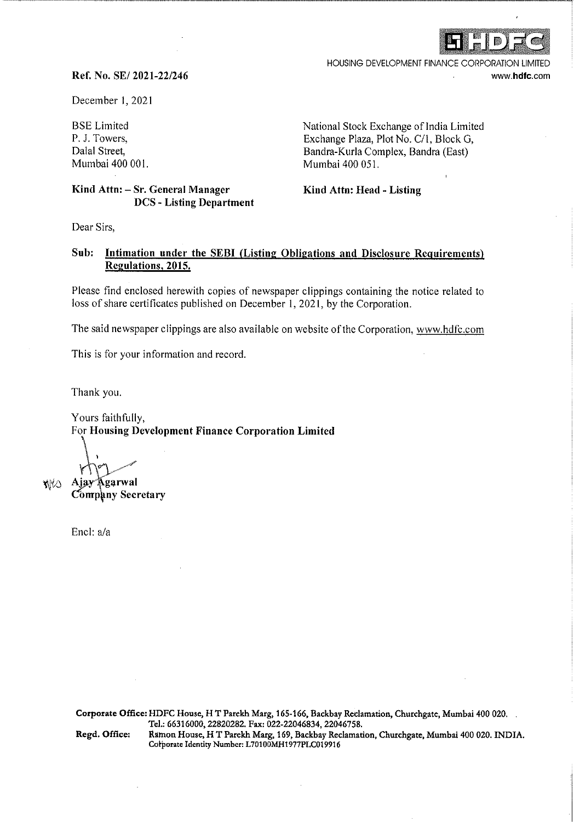

HOUSING DEVELOPMENT FINANCE CORPORATION LIMITED www.hdfc.com

### **Ref. No. SE/ 2021-22/246**

December I, 2021

BSE Limited P. J. Towers, Dalal Street, Mumbai 400 001.

### **Kind Attn: - Sr. General Manager DCS - Listing Department**

National Stock Exchange of India Limited Exchange Plaza, Plot No. C/1, Block G, Bandra-Kurla Complex, Bandra (East) Mumbai 400 051.

**Kind Attn: Head - Listing** 

Dear Sirs,

# Sub: Intimation under the SEBI (Listing Obligations and Disclosure Requirements) **Regulations, 2015.**

Please find enclosed herewith copies of newspaper clippings containing the notice related to loss of share certificates published on December 1, 2021, by the Corporation.

The said newspaper clippings are also available on website of the Corporation, www.hdfc.com

This is for your information and record.

Thank you.

Yours faithfully, For **Housing Development Finance Corporation Limited** 

 $"$   $\downarrow$ 

Ajay **Agarwal Company Secretary** 

Encl: a/a

inika

**Corporate Office:** HDFC House, HT Parekh Marg, 165-166, Backbay Reclamation, Churchgate, Mumbai 400 020. Tel.: 66316000, 22820282. Fax: 022-22046834, 22046758.

Regd. Office: Ramon House, HT Parekh Marg, 169, Backbay Reclamation, Churchgate, Mumbai 400 020. INDIA. Corporate Identity Number: L70100MH1977PLC019916